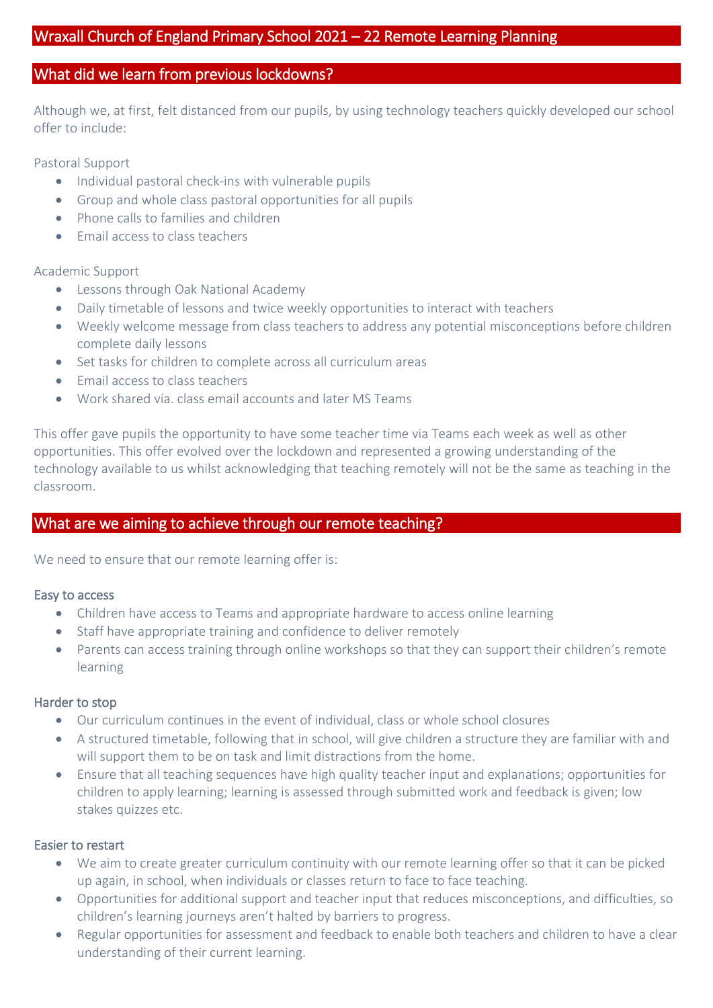## What did we learn from previous lockdowns?

Although we, at first, felt distanced from our pupils, by using technology teachers quickly developed our school offer to include:

Pastoral Support

- Individual pastoral check-ins with vulnerable pupils
- Group and whole class pastoral opportunities for all pupils
- Phone calls to families and children
- Fmail access to class teachers

#### Academic Support

- Lessons through Oak National Academy
- Daily timetable of lessons and twice weekly opportunities to interact with teachers
- Weekly welcome message from class teachers to address any potential misconceptions before children complete daily lessons
- Set tasks for children to complete across all curriculum areas
- $\bullet$  Fmail access to class teachers
- Work shared via. class email accounts and later MS Teams

This offer gave pupils the opportunity to have some teacher time via Teams each week as well as other opportunities. This offer evolved over the lockdown and represented a growing understanding of the technology available to us whilst acknowledging that teaching remotely will not be the same as teaching in the classroom.

## What are we aiming to achieve through our remote teaching?

We need to ensure that our remote learning offer is:

#### Easy to access

- Children have access to Teams and appropriate hardware to access online learning
- Staff have appropriate training and confidence to deliver remotely
- Parents can access training through online workshops so that they can support their children's remote learning

#### Harder to stop

- Our curriculum continues in the event of individual, class or whole school closures
- A structured timetable, following that in school, will give children a structure they are familiar with and will support them to be on task and limit distractions from the home.
- Ensure that all teaching sequences have high quality teacher input and explanations; opportunities for children to apply learning; learning is assessed through submitted work and feedback is given; low stakes quizzes etc.

#### Easier to restart

- We aim to create greater curriculum continuity with our remote learning offer so that it can be picked up again, in school, when individuals or classes return to face to face teaching.
- Opportunities for additional support and teacher input that reduces misconceptions, and difficulties, so children's learning journeys aren't halted by barriers to progress.
- Regular opportunities for assessment and feedback to enable both teachers and children to have a clear understanding of their current learning.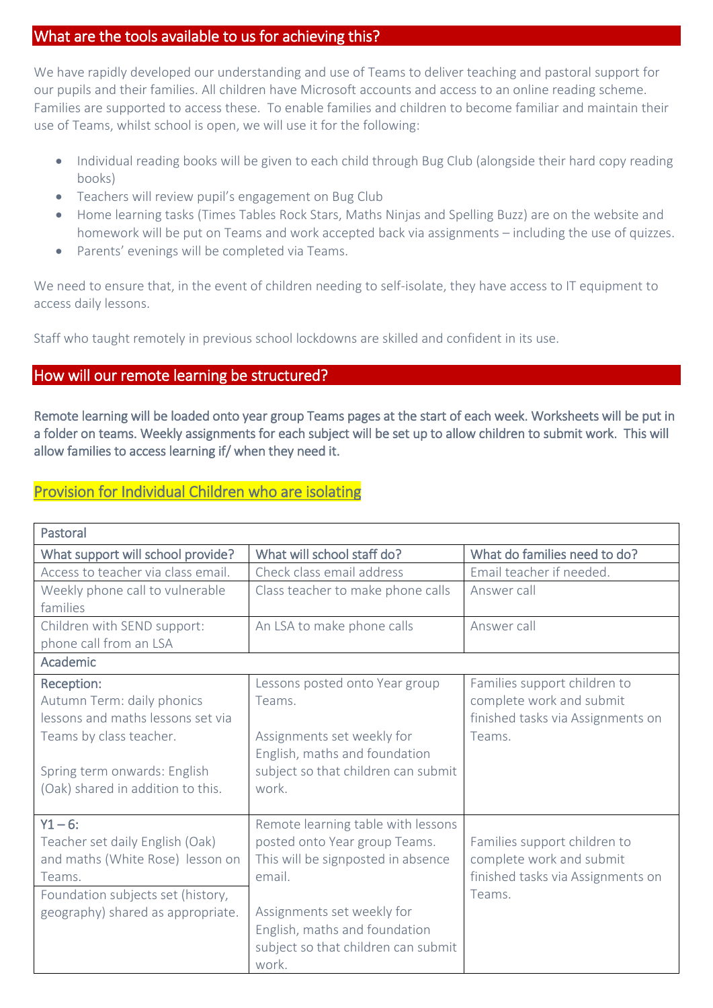## What are the tools available to us for achieving this?

We have rapidly developed our understanding and use of Teams to deliver teaching and pastoral support for our pupils and their families. All children have Microsoft accounts and access to an online reading scheme. Families are supported to access these. To enable families and children to become familiar and maintain their use of Teams, whilst school is open, we will use it for the following:

- Individual reading books will be given to each child through Bug Club (alongside their hard copy reading books)
- Teachers will review pupil's engagement on Bug Club
- Home learning tasks (Times Tables Rock Stars, Maths Ninjas and Spelling Buzz) are on the website and homework will be put on Teams and work accepted back via assignments – including the use of quizzes.
- Parents' evenings will be completed via Teams.

We need to ensure that, in the event of children needing to self-isolate, they have access to IT equipment to access daily lessons.

Staff who taught remotely in previous school lockdowns are skilled and confident in its use.

## How will our remote learning be structured?

Remote learning will be loaded onto year group Teams pages at the start of each week. Worksheets will be put in a folder on teams. Weekly assignments for each subject will be set up to allow children to submit work. This will allow families to access learning if/ when they need it.

## Provision for Individual Children who are isolating

| Pastoral                           |                                     |                                   |  |  |
|------------------------------------|-------------------------------------|-----------------------------------|--|--|
| What support will school provide?  | What will school staff do?          | What do families need to do?      |  |  |
| Access to teacher via class email. | Check class email address           | Email teacher if needed.          |  |  |
| Weekly phone call to vulnerable    | Class teacher to make phone calls   | Answer call                       |  |  |
| families                           |                                     |                                   |  |  |
| Children with SEND support:        | An LSA to make phone calls          | Answer call                       |  |  |
| phone call from an LSA             |                                     |                                   |  |  |
| Academic                           |                                     |                                   |  |  |
| Reception:                         | Lessons posted onto Year group      | Families support children to      |  |  |
| Autumn Term: daily phonics         | Teams.                              | complete work and submit          |  |  |
| lessons and maths lessons set via  |                                     | finished tasks via Assignments on |  |  |
| Teams by class teacher.            | Assignments set weekly for          | Teams.                            |  |  |
|                                    | English, maths and foundation       |                                   |  |  |
| Spring term onwards: English       | subject so that children can submit |                                   |  |  |
| (Oak) shared in addition to this.  | work.                               |                                   |  |  |
|                                    |                                     |                                   |  |  |
| $Y1 - 6:$                          | Remote learning table with lessons  |                                   |  |  |
| Teacher set daily English (Oak)    | posted onto Year group Teams.       | Families support children to      |  |  |
| and maths (White Rose) lesson on   | This will be signposted in absence  | complete work and submit          |  |  |
| Teams.                             | email.                              | finished tasks via Assignments on |  |  |
| Foundation subjects set (history,  |                                     | Teams.                            |  |  |
| geography) shared as appropriate.  | Assignments set weekly for          |                                   |  |  |
|                                    | English, maths and foundation       |                                   |  |  |
|                                    | subject so that children can submit |                                   |  |  |
|                                    | work.                               |                                   |  |  |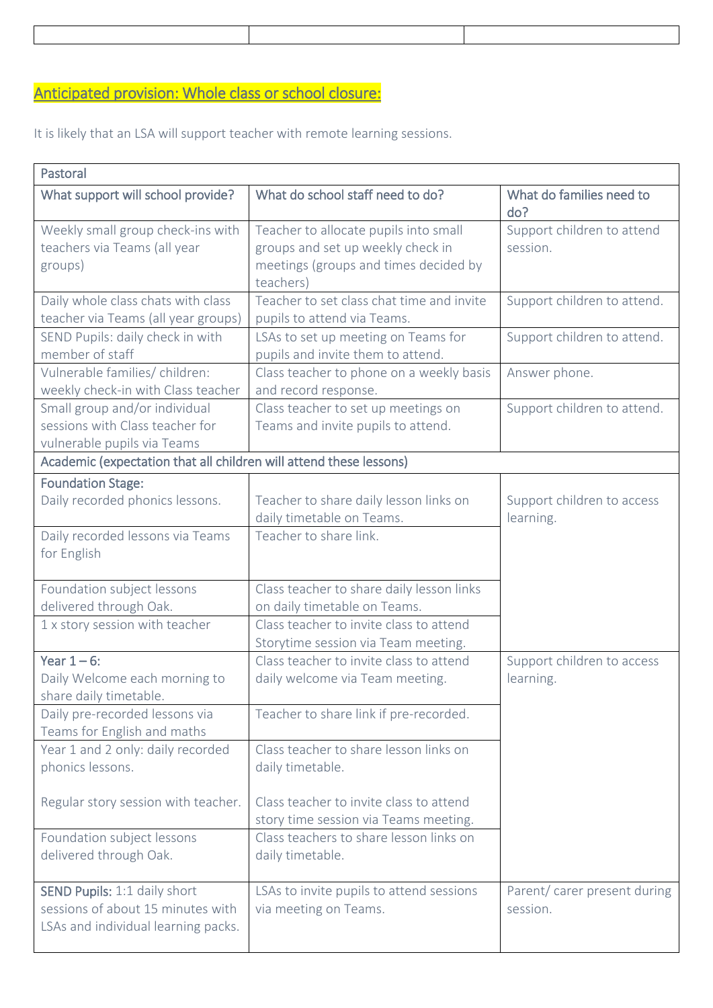# Anticipated provision: Whole class or school closure:

It is likely that an LSA will support teacher with remote learning sessions.

| Pastoral                                                                                                 |                                                                                                                                  |                                          |  |  |
|----------------------------------------------------------------------------------------------------------|----------------------------------------------------------------------------------------------------------------------------------|------------------------------------------|--|--|
| What support will school provide?                                                                        | What do school staff need to do?                                                                                                 | What do families need to<br>do?          |  |  |
| Weekly small group check-ins with<br>teachers via Teams (all year<br>groups)                             | Teacher to allocate pupils into small<br>groups and set up weekly check in<br>meetings (groups and times decided by<br>teachers) | Support children to attend<br>session.   |  |  |
| Daily whole class chats with class<br>teacher via Teams (all year groups)                                | Teacher to set class chat time and invite<br>pupils to attend via Teams.                                                         | Support children to attend.              |  |  |
| SEND Pupils: daily check in with<br>member of staff                                                      | LSAs to set up meeting on Teams for<br>pupils and invite them to attend.                                                         | Support children to attend.              |  |  |
| Vulnerable families/ children:<br>weekly check-in with Class teacher                                     | Class teacher to phone on a weekly basis<br>and record response.                                                                 | Answer phone.                            |  |  |
| Small group and/or individual<br>sessions with Class teacher for<br>vulnerable pupils via Teams          | Class teacher to set up meetings on<br>Teams and invite pupils to attend.                                                        | Support children to attend.              |  |  |
| Academic (expectation that all children will attend these lessons)                                       |                                                                                                                                  |                                          |  |  |
| <b>Foundation Stage:</b><br>Daily recorded phonics lessons.                                              | Teacher to share daily lesson links on<br>daily timetable on Teams.                                                              | Support children to access<br>learning.  |  |  |
| Daily recorded lessons via Teams<br>for English                                                          | Teacher to share link.                                                                                                           |                                          |  |  |
| Foundation subject lessons                                                                               | Class teacher to share daily lesson links                                                                                        |                                          |  |  |
| delivered through Oak.                                                                                   | on daily timetable on Teams.                                                                                                     |                                          |  |  |
| 1 x story session with teacher                                                                           | Class teacher to invite class to attend<br>Storytime session via Team meeting.                                                   |                                          |  |  |
| Year $1-6$ :<br>Daily Welcome each morning to<br>share daily timetable.                                  | Class teacher to invite class to attend<br>daily welcome via Team meeting.                                                       | Support children to access<br>learning.  |  |  |
| Daily pre-recorded lessons via<br>Teams for English and maths                                            | Teacher to share link if pre-recorded.                                                                                           |                                          |  |  |
| Year 1 and 2 only: daily recorded<br>phonics lessons.                                                    | Class teacher to share lesson links on<br>daily timetable.                                                                       |                                          |  |  |
| Regular story session with teacher.                                                                      | Class teacher to invite class to attend<br>story time session via Teams meeting.                                                 |                                          |  |  |
| Foundation subject lessons<br>delivered through Oak.                                                     | Class teachers to share lesson links on<br>daily timetable.                                                                      |                                          |  |  |
| SEND Pupils: 1:1 daily short<br>sessions of about 15 minutes with<br>LSAs and individual learning packs. | LSAs to invite pupils to attend sessions<br>via meeting on Teams.                                                                | Parent/ carer present during<br>session. |  |  |